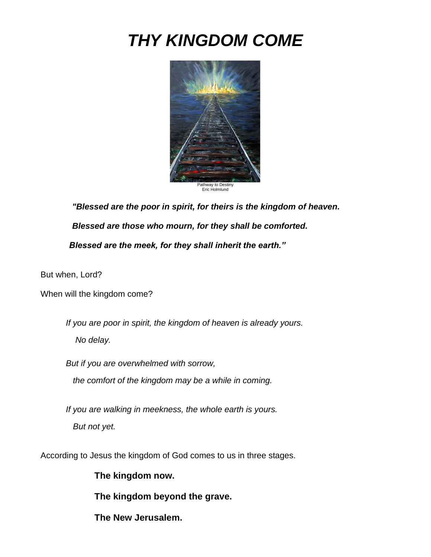# *THY KINGDOM COME*



*"Blessed are the poor in spirit, for theirs is the kingdom of heaven. Blessed are those who mourn, for they shall be comforted. Blessed are the meek, for they shall inherit the earth."*

But when, Lord?

When will the kingdom come?

*If you are poor in spirit, the kingdom of heaven is already yours. No delay.* 

*But if you are overwhelmed with sorrow, the comfort of the kingdom may be a while in coming.* 

*If you are walking in meekness, the whole earth is yours. But not yet.*

According to Jesus the kingdom of God comes to us in three stages.

**The kingdom now.**

**The kingdom beyond the grave.**

**The New Jerusalem.**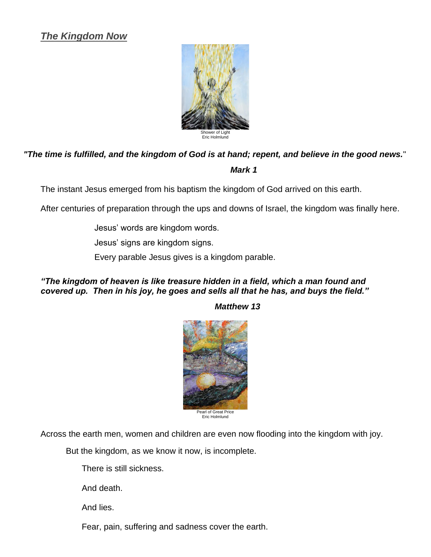# *The Kingdom Now*



# *"The time is fulfilled, and the kingdom of God is at hand; repent, and believe in the good news.*" *Mark 1*

The instant Jesus emerged from his baptism the kingdom of God arrived on this earth.

After centuries of preparation through the ups and downs of Israel, the kingdom was finally here.

Jesus' words are kingdom words.

Jesus' signs are kingdom signs.

Every parable Jesus gives is a kingdom parable.

## *"The kingdom of heaven is like treasure hidden in a field, which a man found and covered up. Then in his joy, he goes and sells all that he has, and buys the field."*

*Matthew 13* 



Eric Holmlund

Across the earth men, women and children are even now flooding into the kingdom with joy.

But the kingdom, as we know it now, is incomplete.

There is still sickness.

And death.

And lies.

Fear, pain, suffering and sadness cover the earth.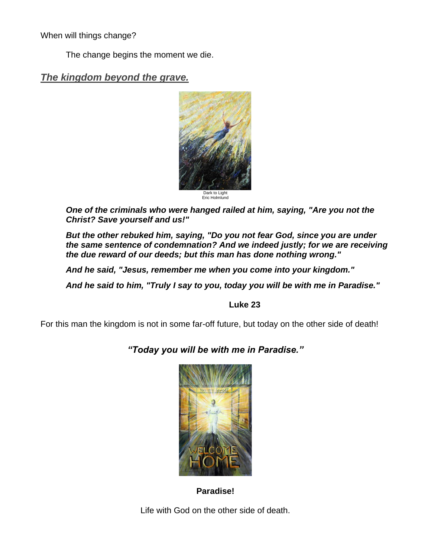When will things change?

The change begins the moment we die.

# *The kingdom beyond the grave.*



*One of the criminals who were hanged railed at him, saying, "Are you not the Christ? Save yourself and us!"*

*But the other rebuked him, saying, "Do you not fear God, since you are under the same sentence of condemnation? And we indeed justly; for we are receiving the due reward of our deeds; but this man has done nothing wrong."*

*And he said, "Jesus, remember me when you come into your kingdom."*

*And he said to him, "Truly I say to you, today you will be with me in Paradise."*

## **Luke 23**

For this man the kingdom is not in some far-off future, but today on the other side of death!

*"Today you will be with me in Paradise."*



**Paradise!**

Life with God on the other side of death.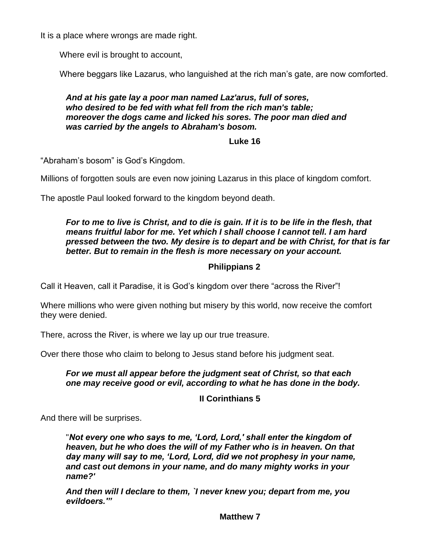It is a place where wrongs are made right.

Where evil is brought to account,

Where beggars like Lazarus, who languished at the rich man's gate, are now comforted.

## *And at his gate lay a poor man named Laz'arus, full of sores, who desired to be fed with what fell from the rich man's table; moreover the dogs came and licked his sores. The poor man died and was carried by the angels to Abraham's bosom.*

#### **Luke 16**

"Abraham's bosom" is God's Kingdom.

Millions of forgotten souls are even now joining Lazarus in this place of kingdom comfort.

The apostle Paul looked forward to the kingdom beyond death.

# *For to me to live is Christ, and to die is gain. If it is to be life in the flesh, that means fruitful labor for me. Yet which I shall choose I cannot tell. I am hard pressed between the two. My desire is to depart and be with Christ, for that is far better. But to remain in the flesh is more necessary on your account.*

# **Philippians 2**

Call it Heaven, call it Paradise, it is God's kingdom over there "across the River"!

Where millions who were given nothing but misery by this world, now receive the comfort they were denied.

There, across the River, is where we lay up our true treasure.

Over there those who claim to belong to Jesus stand before his judgment seat.

## *For we must all appear before the judgment seat of Christ, so that each one may receive good or evil, according to what he has done in the body.*

# **II Corinthians 5**

And there will be surprises.

"*Not every one who says to me, 'Lord, Lord,' shall enter the kingdom of heaven, but he who does the will of my Father who is in heaven. On that day many will say to me, 'Lord, Lord, did we not prophesy in your name, and cast out demons in your name, and do many mighty works in your name?'*

*And then will I declare to them, `I never knew you; depart from me, you evildoers.'"*

**Matthew 7**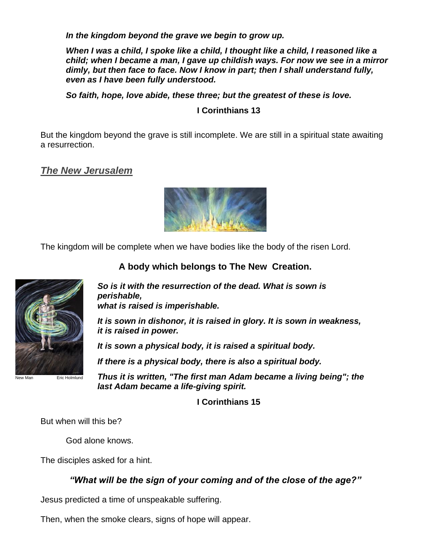*In the kingdom beyond the grave we begin to grow up.* 

*When I was a child, I spoke like a child, I thought like a child, I reasoned like a child; when I became a man, I gave up childish ways. For now we see in a mirror dimly, but then face to face. Now I know in part; then I shall understand fully, even as I have been fully understood.*

*So faith, hope, love abide, these three; but the greatest of these is love.*

# **I Corinthians 13**

But the kingdom beyond the grave is still incomplete. We are still in a spiritual state awaiting a resurrection.

# *The New Jerusalem*



The kingdom will be complete when we have bodies like the body of the risen Lord.



**A body which belongs to The New Creation.**

*So is it with the resurrection of the dead. What is sown is perishable, what is raised is imperishable.*

*It is sown in dishonor, it is raised in glory. It is sown in weakness, it is raised in power.*

*It is sown a physical body, it is raised a spiritual body.* 

*If there is a physical body, there is also a spiritual body.*

*Thus it is written, "The first man Adam became a living being"; the last Adam became a life-giving spirit.*

**I Corinthians 15**

But when will this be?

God alone knows.

The disciples asked for a hint.

*"What will be the sign of your coming and of the close of the age?"*

Jesus predicted a time of unspeakable suffering.

Then, when the smoke clears, signs of hope will appear.